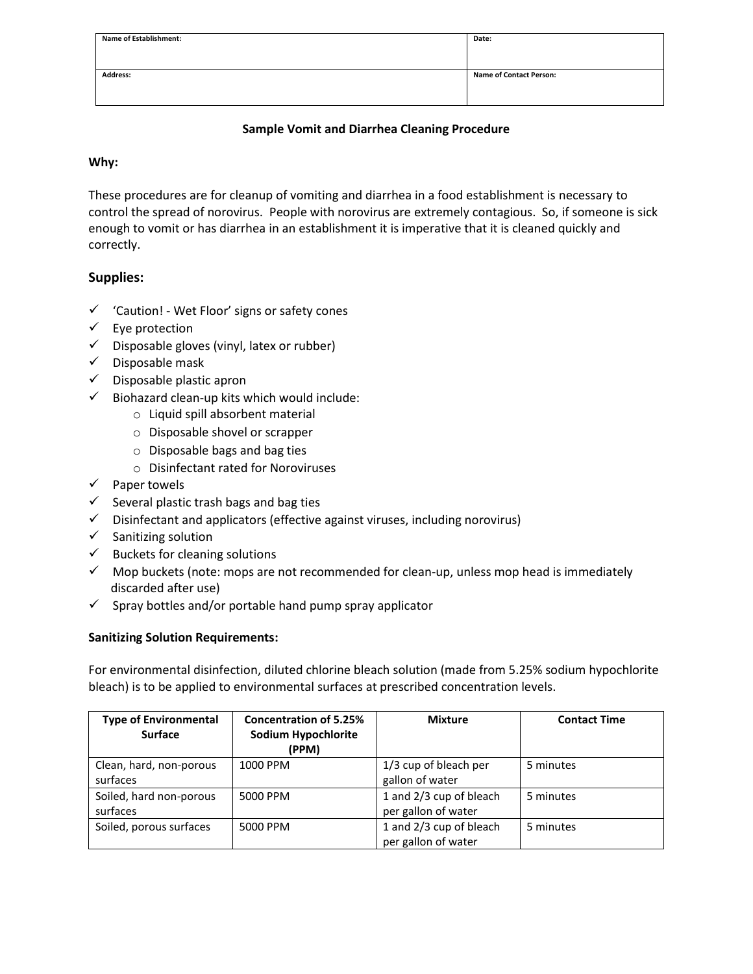| <b>Name of Establishment:</b> | Date:                          |  |
|-------------------------------|--------------------------------|--|
|                               |                                |  |
|                               |                                |  |
| <b>Address:</b>               | <b>Name of Contact Person:</b> |  |
|                               |                                |  |
|                               |                                |  |

# **Sample Vomit and Diarrhea Cleaning Procedure**

#### **Why:**

These procedures are for cleanup of vomiting and diarrhea in a food establishment is necessary to control the spread of norovirus. People with norovirus are extremely contagious. So, if someone is sick enough to vomit or has diarrhea in an establishment it is imperative that it is cleaned quickly and correctly.

# **Supplies:**

- ✓ 'Caution! Wet Floor' signs or safety cones
- $\checkmark$  Eye protection
- $\checkmark$  Disposable gloves (vinyl, latex or rubber)
- $\checkmark$  Disposable mask
- $\checkmark$  Disposable plastic apron
- $\checkmark$  Biohazard clean-up kits which would include:
	- o Liquid spill absorbent material
	- o Disposable shovel or scrapper
	- o Disposable bags and bag ties
	- o Disinfectant rated for Noroviruses
- ✓ Paper towels
- $\checkmark$  Several plastic trash bags and bag ties
- ✓ Disinfectant and applicators (effective against viruses, including norovirus)
- $\checkmark$  Sanitizing solution
- $\checkmark$  Buckets for cleaning solutions
- $\checkmark$  Mop buckets (note: mops are not recommended for clean-up, unless mop head is immediately discarded after use)
- $\checkmark$  Spray bottles and/or portable hand pump spray applicator

#### **Sanitizing Solution Requirements:**

For environmental disinfection, diluted chlorine bleach solution (made from 5.25% sodium hypochlorite bleach) is to be applied to environmental surfaces at prescribed concentration levels.

| <b>Type of Environmental</b> | <b>Concentration of 5.25%</b> | <b>Mixture</b>          | <b>Contact Time</b> |
|------------------------------|-------------------------------|-------------------------|---------------------|
| <b>Surface</b>               | Sodium Hypochlorite           |                         |                     |
|                              | (PPM)                         |                         |                     |
| Clean, hard, non-porous      | 1000 PPM                      | 1/3 cup of bleach per   | 5 minutes           |
| surfaces                     |                               | gallon of water         |                     |
| Soiled, hard non-porous      | 5000 PPM                      | 1 and 2/3 cup of bleach | 5 minutes           |
| surfaces                     |                               | per gallon of water     |                     |
| Soiled, porous surfaces      | 5000 PPM                      | 1 and 2/3 cup of bleach | 5 minutes           |
|                              |                               | per gallon of water     |                     |